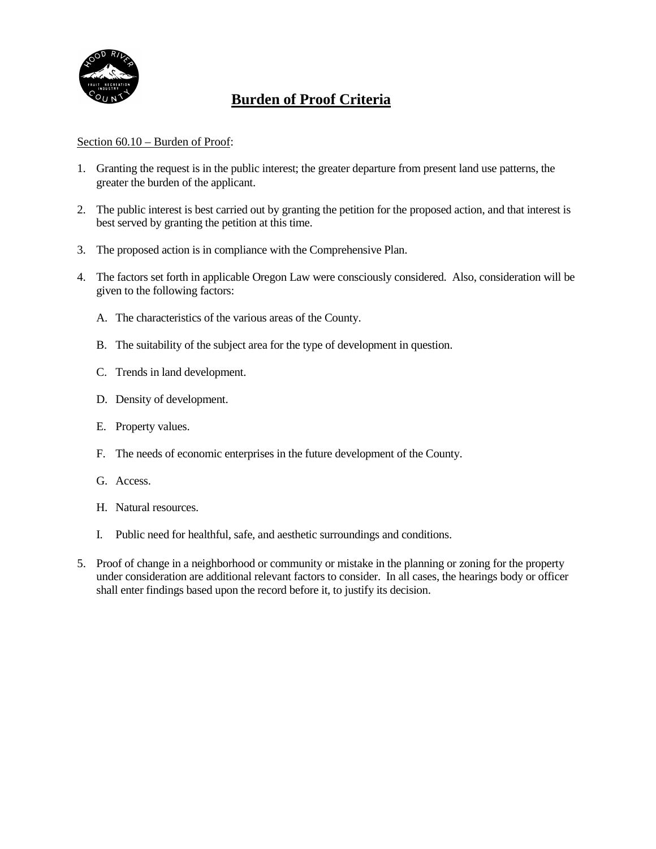

# **Burden of Proof Criteria**

#### Section 60.10 – Burden of Proof:

- 1. Granting the request is in the public interest; the greater departure from present land use patterns, the greater the burden of the applicant.
- 2. The public interest is best carried out by granting the petition for the proposed action, and that interest is best served by granting the petition at this time.
- 3. The proposed action is in compliance with the Comprehensive Plan.
- 4. The factors set forth in applicable Oregon Law were consciously considered. Also, consideration will be given to the following factors:
	- A. The characteristics of the various areas of the County.
	- B. The suitability of the subject area for the type of development in question.
	- C. Trends in land development.
	- D. Density of development.
	- E. Property values.
	- F. The needs of economic enterprises in the future development of the County.
	- G. Access.
	- H. Natural resources.
	- I. Public need for healthful, safe, and aesthetic surroundings and conditions.
- 5. Proof of change in a neighborhood or community or mistake in the planning or zoning for the property under consideration are additional relevant factors to consider. In all cases, the hearings body or officer shall enter findings based upon the record before it, to justify its decision.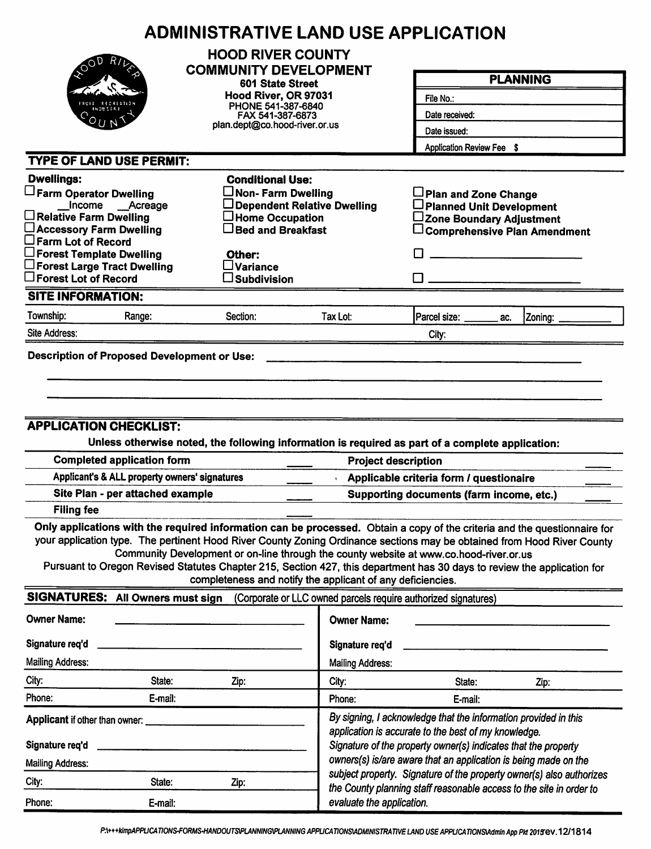|                                                                                                                                                                                                                                                    | <b>ADMINISTRATIVE LAND USE APPLICATION</b>                                                                                                                                                                                                                                                                                                                                                                             |                                                                                                                                                                                           |                                                                      |                                                                                     |  |  |  |
|----------------------------------------------------------------------------------------------------------------------------------------------------------------------------------------------------------------------------------------------------|------------------------------------------------------------------------------------------------------------------------------------------------------------------------------------------------------------------------------------------------------------------------------------------------------------------------------------------------------------------------------------------------------------------------|-------------------------------------------------------------------------------------------------------------------------------------------------------------------------------------------|----------------------------------------------------------------------|-------------------------------------------------------------------------------------|--|--|--|
|                                                                                                                                                                                                                                                    | <b>HOOD RIVER COUNTY</b><br><b>COMMUNITY DEVELOPMENT</b>                                                                                                                                                                                                                                                                                                                                                               |                                                                                                                                                                                           |                                                                      | <b>PLANNING</b>                                                                     |  |  |  |
|                                                                                                                                                                                                                                                    | 601 State Street                                                                                                                                                                                                                                                                                                                                                                                                       |                                                                                                                                                                                           |                                                                      |                                                                                     |  |  |  |
|                                                                                                                                                                                                                                                    | Hood River, OR 97031<br>PHONE 541-387-6840                                                                                                                                                                                                                                                                                                                                                                             |                                                                                                                                                                                           | File No.:                                                            |                                                                                     |  |  |  |
|                                                                                                                                                                                                                                                    | FAX 541-387-6873                                                                                                                                                                                                                                                                                                                                                                                                       |                                                                                                                                                                                           | Date received:                                                       |                                                                                     |  |  |  |
|                                                                                                                                                                                                                                                    |                                                                                                                                                                                                                                                                                                                                                                                                                        | plan.dept@co.hood-river.or.us                                                                                                                                                             |                                                                      | Date issued:<br>Application Review Fee \$                                           |  |  |  |
|                                                                                                                                                                                                                                                    |                                                                                                                                                                                                                                                                                                                                                                                                                        |                                                                                                                                                                                           |                                                                      |                                                                                     |  |  |  |
| <b>TYPE OF LAND USE PERMIT:</b>                                                                                                                                                                                                                    |                                                                                                                                                                                                                                                                                                                                                                                                                        |                                                                                                                                                                                           |                                                                      |                                                                                     |  |  |  |
| <b>Dwellings:</b>                                                                                                                                                                                                                                  | <b>Conditional Use:</b>                                                                                                                                                                                                                                                                                                                                                                                                |                                                                                                                                                                                           |                                                                      |                                                                                     |  |  |  |
| Farm Operator Dwelling<br>Income __Acreage                                                                                                                                                                                                         | $\Box$ Non- Farm Dwelling                                                                                                                                                                                                                                                                                                                                                                                              | Dependent Relative Dwelling                                                                                                                                                               | Plan and Zone Change<br>□ Planned Unit Development                   |                                                                                     |  |  |  |
| $\Box$ Relative Farm Dwelling                                                                                                                                                                                                                      | $\Box$ Home Occupation                                                                                                                                                                                                                                                                                                                                                                                                 |                                                                                                                                                                                           | ∟Zone Boundary Adjustment                                            |                                                                                     |  |  |  |
| □ Accessory Farm Dwelling                                                                                                                                                                                                                          | $\Box$ Bed and Breakfast                                                                                                                                                                                                                                                                                                                                                                                               |                                                                                                                                                                                           |                                                                      | $\Box$ Comprehensive Plan Amendment                                                 |  |  |  |
| $\square$ Farm Lot of Record<br>$\Box$ Forest Template Dwelling                                                                                                                                                                                    | Other:                                                                                                                                                                                                                                                                                                                                                                                                                 |                                                                                                                                                                                           |                                                                      |                                                                                     |  |  |  |
| $\square$ Forest Large Tract Dwelling                                                                                                                                                                                                              | $\square$ Variance                                                                                                                                                                                                                                                                                                                                                                                                     |                                                                                                                                                                                           |                                                                      |                                                                                     |  |  |  |
| $\square$ Forest Lot of Record                                                                                                                                                                                                                     | $\square$ Subdivision                                                                                                                                                                                                                                                                                                                                                                                                  |                                                                                                                                                                                           |                                                                      |                                                                                     |  |  |  |
| <b>SITE INFORMATION:</b>                                                                                                                                                                                                                           |                                                                                                                                                                                                                                                                                                                                                                                                                        |                                                                                                                                                                                           |                                                                      |                                                                                     |  |  |  |
| Township:<br>Range:                                                                                                                                                                                                                                | Section:                                                                                                                                                                                                                                                                                                                                                                                                               | Tax Lot:                                                                                                                                                                                  | Parcel size: ______<br>ac.                                           | Zoning:                                                                             |  |  |  |
| Site Address:                                                                                                                                                                                                                                      |                                                                                                                                                                                                                                                                                                                                                                                                                        |                                                                                                                                                                                           | City:                                                                |                                                                                     |  |  |  |
| <b>Filing fee</b>                                                                                                                                                                                                                                  | <b>APPLICATION CHECKLIST:</b><br>Unless otherwise noted, the following information is required as part of a complete application:<br><b>Completed application form</b><br><b>Project description</b><br>Applicant's & ALL property owners' signatures<br>Site Plan - per attached example<br>Only applications with the required information can be processed. Obtain a copy of the criteria and the questionnaire for |                                                                                                                                                                                           |                                                                      | Applicable criteria form / questionaire<br>Supporting documents (farm income, etc.) |  |  |  |
| your application type. The pertinent Hood River County Zoning Ordinance sections may be obtained from Hood River County<br>Pursuant to Oregon Revised Statutes Chapter 215, Section 427, this department has 30 days to review the application for | Community Development or on-line through the county website at www.co.hood-river.or.us<br>completeness and notify the applicant of any deficiencies.                                                                                                                                                                                                                                                                   |                                                                                                                                                                                           |                                                                      |                                                                                     |  |  |  |
| SIGNATURES: All Owners must sign                                                                                                                                                                                                                   |                                                                                                                                                                                                                                                                                                                                                                                                                        |                                                                                                                                                                                           | (Corporate or LLC owned parcels require authorized signatures)       |                                                                                     |  |  |  |
| <b>Owner Name:</b>                                                                                                                                                                                                                                 |                                                                                                                                                                                                                                                                                                                                                                                                                        | <b>Owner Name:</b>                                                                                                                                                                        |                                                                      |                                                                                     |  |  |  |
| Signature req'd                                                                                                                                                                                                                                    |                                                                                                                                                                                                                                                                                                                                                                                                                        | Signature req'd                                                                                                                                                                           |                                                                      |                                                                                     |  |  |  |
| <b>Mailing Address:</b>                                                                                                                                                                                                                            |                                                                                                                                                                                                                                                                                                                                                                                                                        | <b>Mailing Address:</b>                                                                                                                                                                   |                                                                      |                                                                                     |  |  |  |
| City:<br>State:                                                                                                                                                                                                                                    | Zip:                                                                                                                                                                                                                                                                                                                                                                                                                   | City:                                                                                                                                                                                     | State:                                                               | Zip:                                                                                |  |  |  |
| Phone:<br>E-mail:                                                                                                                                                                                                                                  |                                                                                                                                                                                                                                                                                                                                                                                                                        | Phone:                                                                                                                                                                                    | E-mail:                                                              |                                                                                     |  |  |  |
| Applicant if other than owner:<br>Signature req'd                                                                                                                                                                                                  |                                                                                                                                                                                                                                                                                                                                                                                                                        | By signing, I acknowledge that the information provided in this<br>application is accurate to the best of my knowledge.<br>Signature of the property owner(s) indicates that the property |                                                                      |                                                                                     |  |  |  |
| <b>Mailing Address:</b>                                                                                                                                                                                                                            |                                                                                                                                                                                                                                                                                                                                                                                                                        |                                                                                                                                                                                           | owners(s) is/are aware that an application is being made on the      |                                                                                     |  |  |  |
| City:<br>State:                                                                                                                                                                                                                                    | Zip:                                                                                                                                                                                                                                                                                                                                                                                                                   |                                                                                                                                                                                           | subject property. Signature of the property owner(s) also authorizes |                                                                                     |  |  |  |
| Phone:<br>E-mail:                                                                                                                                                                                                                                  |                                                                                                                                                                                                                                                                                                                                                                                                                        | evaluate the application.                                                                                                                                                                 | the County planning staff reasonable access to the site in order to  |                                                                                     |  |  |  |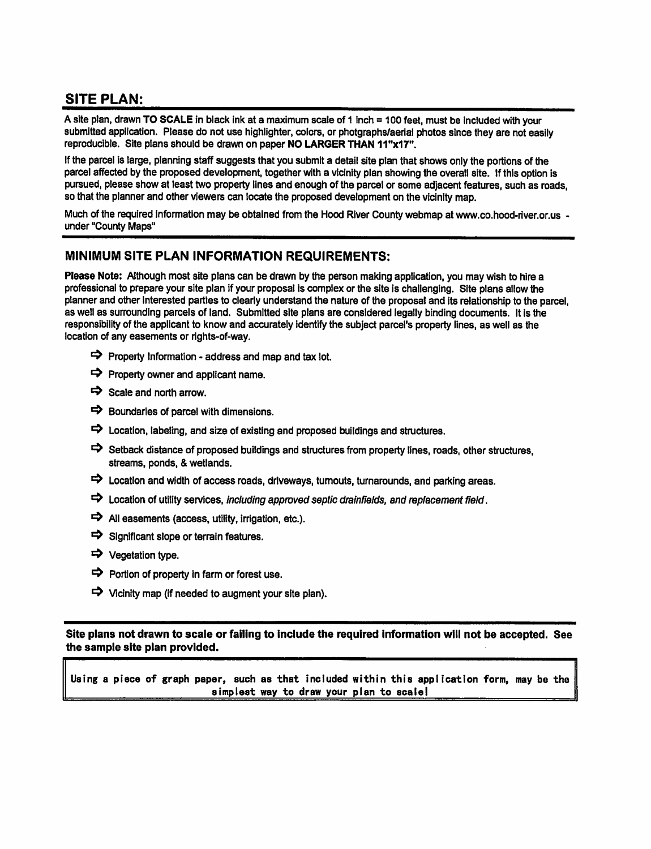## **SITE PLAN:**

A site plan, drawn TO SCALE in black ink at a maximum scale of 1 inch = 100 feet, must be included with your submitted application. Please do not use highlighter, colors, or photgraphs/aerial photos since they are not easily reproducible. Site plans should be drawn on paper NO LARGER THAN 11"x17".

If the parcel is large, planning staff suggests that you submit a detail site plan that shows only the portions of the parcel affected by the proposed development, together with a vicinity plan showing the overall site. If this option is pursued, please show at least two property lines and enough of the parcel or some adjacent features, such as roads, so that the planner and other viewers can locate the proposed development on the vicinity map.

Much of the required information may be obtained from the Hood River County webmap at www.co.hood-river.or.us under "County Maps"

#### MINIMUM SITE PLAN INFORMATION REQUIREMENTS:

Please Note: Although most site plans can be drawn by the person making application, you may wish to hire a professional to prepare your site plan if your proposal is complex or the site is challenging. Site plans allow the planner and other interested parties to clearly understand the nature of the proposal and its relationship to the parcel. as well as surrounding parcels of land. Submitted site plans are considered legally binding documents. It is the responsibility of the applicant to know and accurately identify the subject parcel's property lines, as well as the location of any easements or rights-of-way.

- $\Rightarrow$  Property Information address and map and tax lot.
- $\Rightarrow$  Property owner and applicant name.
- $\Rightarrow$  Scale and north arrow.
- $\Rightarrow$  Boundaries of parcel with dimensions.
- $\Rightarrow$  Location, labeling, and size of existing and proposed buildings and structures.
- Setback distance of proposed buildings and structures from property lines, roads, other structures, streams, ponds, & wetlands.
- $\Rightarrow$  Location and width of access roads, driveways, turnouts, turnarounds, and parking areas.
- $\Rightarrow$  Location of utility services, including approved septic drainfields, and replacement field.
- $\Rightarrow$  All easements (access, utility, irrigation, etc.).
- $\Rightarrow$  Significant slope or terrain features.
- → Vegetation type.
- $\Rightarrow$  Portion of property in farm or forest use.
- $\Rightarrow$  Vicinity map (if needed to augment your site plan).

Site plans not drawn to scale or failing to include the required information will not be accepted. See the sample site plan provided.

Using a piece of graph paper, such as that included within this application form, may be the simplest way to draw your plan to scale!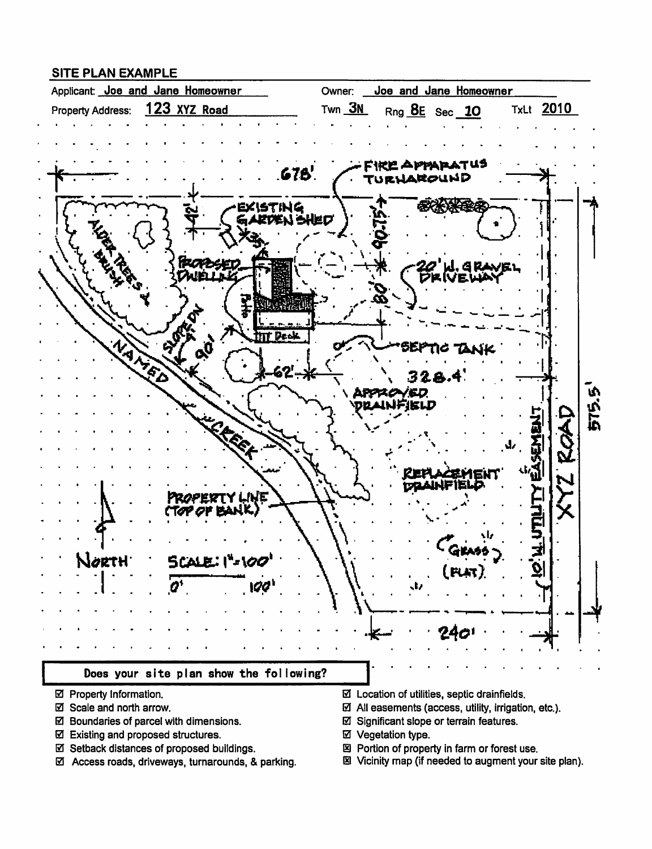#### **SITE PLAN EXAMPLE**



- ☑ Property Information.
- ☑ Scale and north arrow.
- ☑ Boundaries of parcel with dimensions.
- ☑ Existing and proposed structures.
- ☑ Setback distances of proposed buildings.
- ☑ Access roads, driveways, turnarounds, & parking.
- $\boxtimes$  Location of utilities, septic drainfields.
- $\boxtimes$  All easements (access, utility, irrigation, etc.).
- ☑ Significant slope or terrain features.
- ☑ Vegetation type.
- 図 Portion of property in farm or forest use.
- 图 Vicinity map (if needed to augment your site plan).